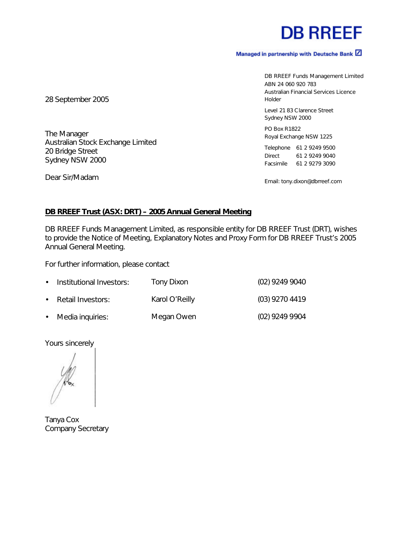## **DB RREEF**

#### Managed in partnership with Deutsche Bank Z

DB RREEF Funds Management Limited ABN 24 060 920 783 Australian Financial Services Licence Holder

Level 21 83 Clarence Street Sydney NSW 2000

PO Box R1822 Royal Exchange NSW 1225

Telephone 61 2 9249 9500 Direct 61 2 9249 9040 Facsimile 61 2 9279 3090

Email: tony.dixon@dbrreef.com

28 September 2005

The Manager Australian Stock Exchange Limited 20 Bridge Street Sydney NSW 2000

Dear Sir/Madam

#### **DB RREEF Trust (ASX: DRT) – 2005 Annual General Meeting**

DB RREEF Funds Management Limited, as responsible entity for DB RREEF Trust (DRT), wishes to provide the Notice of Meeting, Explanatory Notes and Proxy Form for DB RREEF Trust's 2005 Annual General Meeting.

For further information, please contact

| • Institutional Investors: | Tony Dixon     | (02) 9249 9040 |
|----------------------------|----------------|----------------|
| • Retail Investors:        | Karol O'Reilly | (03) 9270 4419 |
| • Media inquiries:         | Megan Owen     | (02) 9249 9904 |

Yours sincerely

Tanya Cox Company Secretary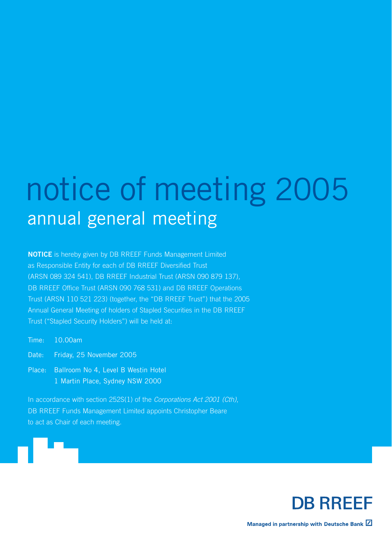# notice of meeting 2005 annual general meeting

**NOTICE** is hereby given by DB RREEF Funds Management Limited as Responsible Entity for each of DB RREEF Diversified Trust (ARSN 089 324 541), DB RREEF Industrial Trust (ARSN 090 879 137), DB RREEF Office Trust (ARSN 090 768 531) and DB RREEF Operations Trust (ARSN 110 521 223) (together, the "DB RREEF Trust") that the 2005 Annual General Meeting of holders of Stapled Securities in the DB RREEF Trust ("Stapled Security Holders") will be held at:

Time: 10.00am

Date: Friday, 25 November 2005

Place: Ballroom No 4, Level B Westin Hotel 1 Martin Place, Sydney NSW 2000

In accordance with section 252S(1) of the Corporations Act 2001 (Cth), DB RREEF Funds Management Limited appoints Christopher Beare to act as Chair of each meeting.

**DB RREEF** 

Managed in partnership with Deutsche Bank Z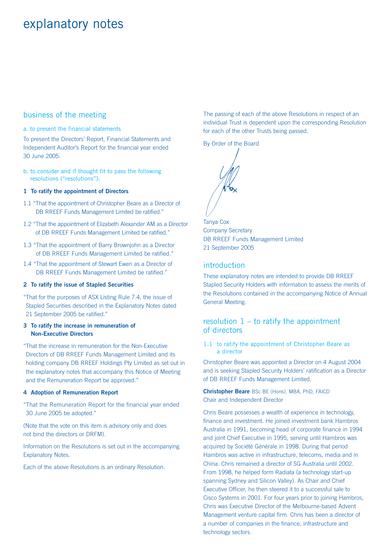## explanatory notes

#### business of the meeting

a. to present the financial statements

To present the Directors' Report, Financial Statements and Independent Auditor's Report for the financial year ended 30 June 2005.

b. to consider and if thought fit to pass the following resolutions ("resolutions"):

#### **1 To ratify the appointment of Directors**

- 1.1 "That the appointment of Christopher Beare as a Director of DB RREEF Funds Management Limited be ratified."
- 1.2 "That the appointment of Elizabeth Alexander AM as a Director of DB RREEF Funds Management Limited be ratified."
- 1.3 "That the appointment of Barry Brownjohn as a Director of DB RREEF Funds Management Limited be ratified."
- 1.4 "That the appointment of Stewart Ewen as a Director of DB RREEF Funds Management Limited be ratified."

#### **2 To ratify the issue of Stapled Securities**

"That for the purposes of ASX Listing Rule 7.4, the issue of Stapled Securities described in the Explanatory Notes dated 21 September 2005 be ratified."

#### **3 To ratify the increase in remuneration of Non-Executive Directors**

"That the increase in remuneration for the Non-Executive Directors of DB RREEF Funds Management Limited and its holding company DB RREEF Holdings Pty Limited as set out in the explanatory notes that accompany this Notice of Meeting and the Remuneration Report be approved."

#### **4 Adoption of Remuneration Report**

"That the Remuneration Report for the financial year ended 30 June 2005 be adopted."

(Note that the vote on this item is advisory only and does not bind the directors or DRFM).

Information on the Resolutions is set out in the accompanying Explanatory Notes.

Each of the above Resolutions is an ordinary Resolution.

The passing of each of the above Resolutions in respect of an individual Trust is dependent upon the corresponding Resolution for each of the other Trusts being passed.

By Order of the Board

Tanya Cox Company Secretary DB RREEF Funds Management Limited 21 September 2005

#### introduction

These explanatory notes are intended to provide DB RREEF Stapled Security Holders with information to assess the merits of the Resolutions contained in the accompanying Notice of Annual General Meeting.

#### resolution  $1 -$  to ratify the appointment of directors

1.1 to ratify the appointment of Christopher Beare as a director

Christopher Beare was appointed a Director on 4 August 2004 and is seeking Stapled Security Holders' ratification as a Director of DB RREEF Funds Management Limited.

**Christopher Beare** BSc BE (Hons), MBA, PhD, FAICD Chair and Independent Director

Chris Beare possesses a wealth of experience in technology, finance and investment. He joined investment bank Hambros Australia in 1991, becoming head of corporate finance in 1994 and joint Chief Executive in 1995, serving until Hambros was acquired by Société Générale in 1998. During that period Hambros was active in infrastructure, telecoms, media and in China. Chris remained a director of SG Australia until 2002. From 1998, he helped form Radiata (a technology start-up spanning Sydney and Silicon Valley). As Chair and Chief Executive Officer, he then steered it to a successful sale to Cisco Systems in 2001. For four years prior to joining Hambros, Chris was Executive Director of the Melbourne-based Advent Management venture capital firm. Chris has been a director of a number of companies in the finance, infrastructure and technology sectors.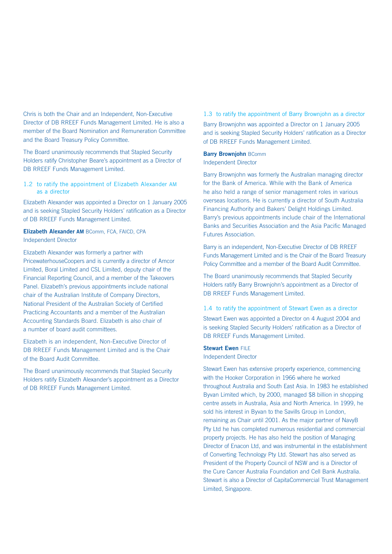Chris is both the Chair and an Independent, Non-Executive Director of DB RREEF Funds Management Limited. He is also a member of the Board Nomination and Remuneration Committee and the Board Treasury Policy Committee.

The Board unanimously recommends that Stapled Security Holders ratify Christopher Beare's appointment as a Director of DB RREEF Funds Management Limited.

#### 1.2 to ratify the appointment of Elizabeth Alexander AM as a director

Elizabeth Alexander was appointed a Director on 1 January 2005 and is seeking Stapled Security Holders' ratification as a Director of DB RREEF Funds Management Limited.

#### **Elizabeth Alexander AM** BComm, FCA, FAICD, CPA Independent Director

Elizabeth Alexander was formerly a partner with PricewaterhouseCoopers and is currently a director of Amcor Limited, Boral Limited and CSL Limited, deputy chair of the Financial Reporting Council, and a member of the Takeovers Panel. Elizabeth's previous appointments include national chair of the Australian Institute of Company Directors, National President of the Australian Society of Certified Practicing Accountants and a member of the Australian Accounting Standards Board. Elizabeth is also chair of a number of board audit committees.

Elizabeth is an independent, Non-Executive Director of DB RREEF Funds Management Limited and is the Chair of the Board Audit Committee.

The Board unanimously recommends that Stapled Security Holders ratify Elizabeth Alexander's appointment as a Director of DB RREEF Funds Management Limited.

#### 1.3 to ratify the appointment of Barry Brownjohn as a director

Barry Brownjohn was appointed a Director on 1 January 2005 and is seeking Stapled Security Holders' ratification as a Director of DB RREEF Funds Management Limited.

#### **Barry Brownjohn** BComm

#### Independent Director

Barry Brownjohn was formerly the Australian managing director for the Bank of America. While with the Bank of America he also held a range of senior management roles in various overseas locations. He is currently a director of South Australia Financing Authority and Bakers' Delight Holdings Limited. Barry's previous appointments include chair of the International Banks and Securities Association and the Asia Pacific Managed Futures Association.

Barry is an independent, Non-Executive Director of DB RREEF Funds Management Limited and is the Chair of the Board Treasury Policy Committee and a member of the Board Audit Committee.

The Board unanimously recommends that Stapled Security Holders ratify Barry Brownjohn's appointment as a Director of DB RREEF Funds Management Limited.

#### 1.4 to ratify the appointment of Stewart Ewen as a director

Stewart Ewen was appointed a Director on 4 August 2004 and is seeking Stapled Security Holders' ratification as a Director of DB RREEF Funds Management Limited.

#### **Stewart Ewen FILE**

Independent Director

Stewart Ewen has extensive property experience, commencing with the Hooker Corporation in 1966 where he worked throughout Australia and South East Asia. In 1983 he established Byvan Limited which, by 2000, managed \$8 billion in shopping centre assets in Australia, Asia and North America. In 1999, he sold his interest in Byvan to the Savills Group in London, remaining as Chair until 2001. As the major partner of NavyB Pty Ltd he has completed numerous residential and commercial property projects. He has also held the position of Managing Director of Enacon Ltd, and was instrumental in the establishment of Converting Technology Pty Ltd. Stewart has also served as President of the Property Council of NSW and is a Director of the Cure Cancer Australia Foundation and Cell Bank Australia. Stewart is also a Director of CapitaCommercial Trust Management Limited, Singapore.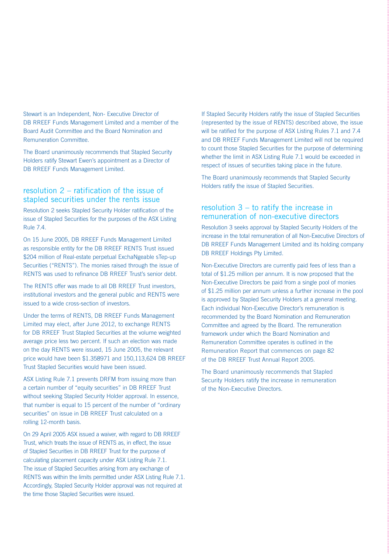Stewart is an Independent, Non- Executive Director of DB RREEF Funds Management Limited and a member of the Board Audit Committee and the Board Nomination and Remuneration Committee.

The Board unanimously recommends that Stapled Security Holders ratify Stewart Ewen's appointment as a Director of DB RREEF Funds Management Limited.

#### resolution 2 – ratification of the issue of stapled securities under the rents issue

Resolution 2 seeks Stapled Security Holder ratification of the issue of Stapled Securities for the purposes of the ASX Listing Rule 7.4.

On 15 June 2005, DB RREEF Funds Management Limited as responsible entity for the DB RREEF RENTS Trust issued \$204 million of Real-estate perpetual ExchaNgeable sTep-up Securities ("RENTS"). The monies raised through the issue of RENTS was used to refinance DB RREEF Trust's senior debt.

The RENTS offer was made to all DB RREEF Trust investors, institutional investors and the general public and RENTS were issued to a wide cross-section of investors.

Under the terms of RENTS, DB RREEF Funds Management Limited may elect, after June 2012, to exchange RENTS for DB RREEF Trust Stapled Securities at the volume weighted average price less two percent. If such an election was made on the day RENTS were issued, 15 June 2005, the relevant price would have been \$1.358971 and 150,113,624 DB RREEF Trust Stapled Securities would have been issued.

ASX Listing Rule 7.1 prevents DRFM from issuing more than a certain number of "equity securities" in DB RREEF Trust without seeking Stapled Security Holder approval. In essence, that number is equal to 15 percent of the number of "ordinary securities" on issue in DB RREEF Trust calculated on a rolling 12-month basis.

On 29 April 2005 ASX issued a waiver, with regard to DB RREEF Trust, which treats the issue of RENTS as, in effect, the issue of Stapled Securities in DB RREEF Trust for the purpose of calculating placement capacity under ASX Listing Rule 7.1. The issue of Stapled Securities arising from any exchange of RENTS was within the limits permitted under ASX Listing Rule 7.1. Accordingly, Stapled Security Holder approval was not required at the time those Stapled Securities were issued.

If Stapled Security Holders ratify the issue of Stapled Securities (represented by the issue of RENTS) described above, the issue will be ratified for the purpose of ASX Listing Rules 7.1 and 7.4 and DB RREEF Funds Management Limited will not be required to count those Stapled Securities for the purpose of determining whether the limit in ASX Listing Rule 7.1 would be exceeded in respect of issues of securities taking place in the future.

The Board unanimously recommends that Stapled Security Holders ratify the issue of Stapled Securities.

#### resolution 3 – to ratify the increase in remuneration of non-executive directors

Resolution 3 seeks approval by Stapled Security Holders of the increase in the total remuneration of all Non-Executive Directors of DB RREEF Funds Management Limited and its holding company DB RREEF Holdings Pty Limited.

Non-Executive Directors are currently paid fees of less than a total of \$1.25 million per annum. It is now proposed that the Non-Executive Directors be paid from a single pool of monies of \$1.25 million per annum unless a further increase in the pool is approved by Stapled Security Holders at a general meeting. Each individual Non-Executive Director's remuneration is recommended by the Board Nomination and Remuneration Committee and agreed by the Board. The remuneration framework under which the Board Nomination and Remuneration Committee operates is outlined in the Remuneration Report that commences on page 82 of the DB RREEF Trust Annual Report 2005.

The Board unanimously recommends that Stapled Security Holders ratify the increase in remuneration of the Non-Executive Directors.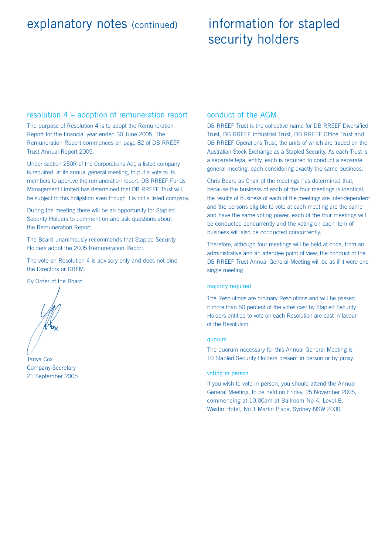### explanatory notes (continued)

## information for stapled security holders

#### resolution 4 – adoption of remuneration report

The purpose of Resolution 4 is to adopt the Remuneration Report for the financial year ended 30 June 2005. The Remuneration Report commences on page 82 of DB RREEF Trust Annual Report 2005.

Under section 250R of the Corporations Act, a listed company is required, at its annual general meeting, to put a vote to its members to approve the remuneration report. DB RREEF Funds Management Limited has determined that DB RREEF Trust will be subject to this obligation even though it is not a listed company.

During the meeting there will be an opportunity for Stapled Security Holders to comment on and ask questions about the Remuneration Report.

The Board unanimously recommends that Stapled Security Holders adopt the 2005 Remuneration Report.

The vote on Resolution 4 is advisory only and does not bind the Directors or DRFM.

By Order of the Board

Tanya Cox Company Secretary 21 September 2005

#### conduct of the AGM

DB RREEF Trust is the collective name for DB RREEF Diversified Trust, DB RREEF Industrial Trust, DB RREEF Office Trust and DB RREEF Operations Trust, the units of which are traded on the Australian Stock Exchange as a Stapled Security. As each Trust is a separate legal entity, each is required to conduct a separate general meeting, each considering exactly the same business.

Chris Beare as Chair of the meetings has determined that, because the business of each of the four meetings is identical, the results of business of each of the meetings are inter-dependent and the persons eligible to vote at each meeting are the same and have the same voting power, each of the four meetings will be conducted concurrently and the voting on each item of business will also be conducted concurrently.

Therefore, although four meetings will be held at once, from an administrative and an attendee point of view, the conduct of the DB RREEF Trust Annual General Meeting will be as if it were one single meeting.

#### majority required

The Resolutions are ordinary Resolutions and will be passed if more than 50 percent of the votes cast by Stapled Security Holders entitled to vote on each Resolution are cast in favour of the Resolution.

#### quorum

The quorum necessary for this Annual General Meeting is 10 Stapled Security Holders present in person or by proxy.

#### voting in person

If you wish to vote in person, you should attend the Annual General Meeting, to be held on Friday, 25 November 2005, commencing at 10.00am at Ballroom No 4, Level B, Westin Hotel, No 1 Martin Place, Sydney NSW 2000.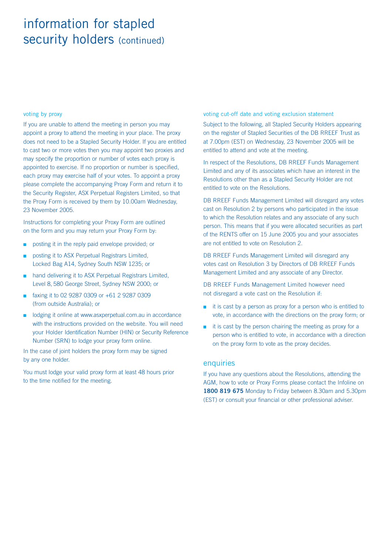## information for stapled security holders (continued)

#### voting by proxy

If you are unable to attend the meeting in person you may appoint a proxy to attend the meeting in your place. The proxy does not need to be a Stapled Security Holder. If you are entitled to cast two or more votes then you may appoint two proxies and may specify the proportion or number of votes each proxy is appointed to exercise. If no proportion or number is specified, each proxy may exercise half of your votes. To appoint a proxy please complete the accompanying Proxy Form and return it to the Security Register, ASX Perpetual Registers Limited, so that the Proxy Form is received by them by 10.00am Wednesday, 23 November 2005.

Instructions for completing your Proxy Form are outlined on the form and you may return your Proxy Form by:

- posting it in the reply paid envelope provided; or
- posting it to ASX Perpetual Registrars Limited, Locked Bag A14, Sydney South NSW 1235; or
- hand delivering it to ASX Perpetual Registrars Limited. Level 8, 580 George Street, Sydney NSW 2000; or
- faxing it to 02 9287 0309 or +61 2 9287 0309 (from outside Australia); or
- lodging it online at www.asxperpetual.com.au in accordance with the instructions provided on the website. You will need your Holder Identification Number (HIN) or Security Reference Number (SRN) to lodge your proxy form online.

In the case of joint holders the proxy form may be signed by any one holder.

You must lodge your valid proxy form at least 48 hours prior to the time notified for the meeting.

voting cut-off date and voting exclusion statement

Subject to the following, all Stapled Security Holders appearing on the register of Stapled Securities of the DB RREEF Trust as at 7.00pm (EST) on Wednesday, 23 November 2005 will be entitled to attend and vote at the meeting.

In respect of the Resolutions, DB RREEF Funds Management Limited and any of its associates which have an interest in the Resolutions other than as a Stapled Security Holder are not entitled to vote on the Resolutions.

DB RREEF Funds Management Limited will disregard any votes cast on Resolution 2 by persons who participated in the issue to which the Resolution relates and any associate of any such person. This means that if you were allocated securities as part of the RENTS offer on 15 June 2005 you and your associates are not entitled to vote on Resolution 2.

DB RREEF Funds Management Limited will disregard any votes cast on Resolution 3 by Directors of DB RREEF Funds Management Limited and any associate of any Director.

DB RREEF Funds Management Limited however need not disregard a vote cast on the Resolution if:

- it is cast by a person as proxy for a person who is entitled to vote, in accordance with the directions on the proxy form; or
- it is cast by the person chairing the meeting as proxy for a person who is entitled to vote, in accordance with a direction on the proxy form to vote as the proxy decides.

#### enquiries

If you have any questions about the Resolutions, attending the AGM, how to vote or Proxy Forms please contact the Infoline on **1800 819 675** Monday to Friday between 8.30am and 5.30pm (EST) or consult your financial or other professional adviser.